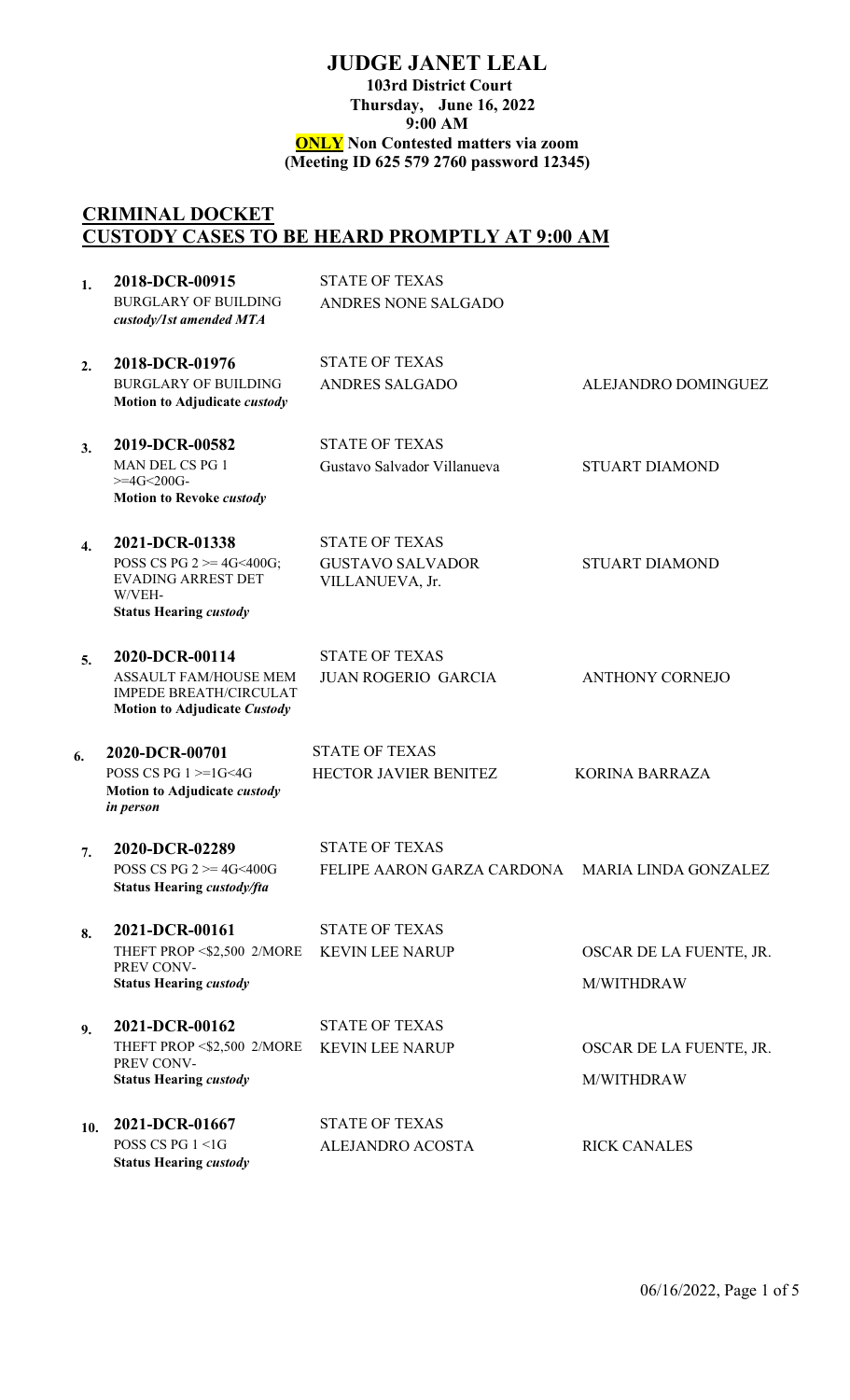## **JUDGE JANET LEAL 103rd District Court Thursday, June 16, 2022 9:00 AM ONLY Non Contested matters via zoom (Meeting ID 625 579 2760 password 12345)**

## **CRIMINAL DOCKET CUSTODY CASES TO BE HEARD PROMPTLY AT 9:00 AM**

| 1.  | 2018-DCR-00915                                                                                                         | <b>STATE OF TEXAS</b>                      |                             |
|-----|------------------------------------------------------------------------------------------------------------------------|--------------------------------------------|-----------------------------|
|     | <b>BURGLARY OF BUILDING</b><br>custody/1st amended MTA                                                                 | ANDRES NONE SALGADO                        |                             |
| 2.  | 2018-DCR-01976                                                                                                         | <b>STATE OF TEXAS</b>                      |                             |
|     | <b>BURGLARY OF BUILDING</b><br>Motion to Adjudicate custody                                                            | ANDRES SALGADO                             | ALEJANDRO DOMINGUEZ         |
| 3.  | 2019-DCR-00582                                                                                                         | <b>STATE OF TEXAS</b>                      |                             |
|     | MAN DEL CS PG 1<br>$>=$ 4G<200G-<br><b>Motion to Revoke custody</b>                                                    | Gustavo Salvador Villanueva                | <b>STUART DIAMOND</b>       |
| 4.  | 2021-DCR-01338                                                                                                         | <b>STATE OF TEXAS</b>                      |                             |
|     | POSS CS PG $2 \ge 4$ G<400G;<br><b>EVADING ARREST DET</b><br>W/VEH-<br><b>Status Hearing custody</b>                   | <b>GUSTAVO SALVADOR</b><br>VILLANUEVA, Jr. | <b>STUART DIAMOND</b>       |
|     |                                                                                                                        | <b>STATE OF TEXAS</b>                      |                             |
| 5.  | 2020-DCR-00114<br><b>ASSAULT FAM/HOUSE MEM</b><br><b>IMPEDE BREATH/CIRCULAT</b><br><b>Motion to Adjudicate Custody</b> | <b>JUAN ROGERIO GARCIA</b>                 | <b>ANTHONY CORNEJO</b>      |
| 6.  | 2020-DCR-00701                                                                                                         | <b>STATE OF TEXAS</b>                      |                             |
|     | POSS CS PG $1 \geq 1$ G<4G<br>Motion to Adjudicate custody<br>in person                                                | HECTOR JAVIER BENITEZ                      | <b>KORINA BARRAZA</b>       |
| 7.  | 2020-DCR-02289                                                                                                         | <b>STATE OF TEXAS</b>                      |                             |
|     | POSS CS PG $2 \ge 4$ G<400G<br><b>Status Hearing custody/fta</b>                                                       | FELIPE AARON GARZA CARDONA                 | <b>MARIA LINDA GONZALEZ</b> |
| 8.  | 2021-DCR-00161                                                                                                         | <b>STATE OF TEXAS</b>                      |                             |
|     | THEFT PROP <\$2,500 2/MORE KEVIN LEE NARUP<br>PREV CONV-                                                               |                                            | OSCAR DE LA FUENTE, JR.     |
|     | <b>Status Hearing custody</b>                                                                                          |                                            | M/WITHDRAW                  |
| 9.  | 2021-DCR-00162                                                                                                         | <b>STATE OF TEXAS</b>                      |                             |
|     | THEFT PROP <\$2,500 2/MORE                                                                                             | <b>KEVIN LEE NARUP</b>                     | OSCAR DE LA FUENTE, JR.     |
|     | PREV CONV-<br><b>Status Hearing custody</b>                                                                            |                                            | M/WITHDRAW                  |
| 10. | 2021-DCR-01667                                                                                                         | <b>STATE OF TEXAS</b>                      |                             |
|     | POSS CS PG $1 \leq 1$ G                                                                                                | ALEJANDRO ACOSTA                           | <b>RICK CANALES</b>         |
|     | <b>Status Hearing custody</b>                                                                                          |                                            |                             |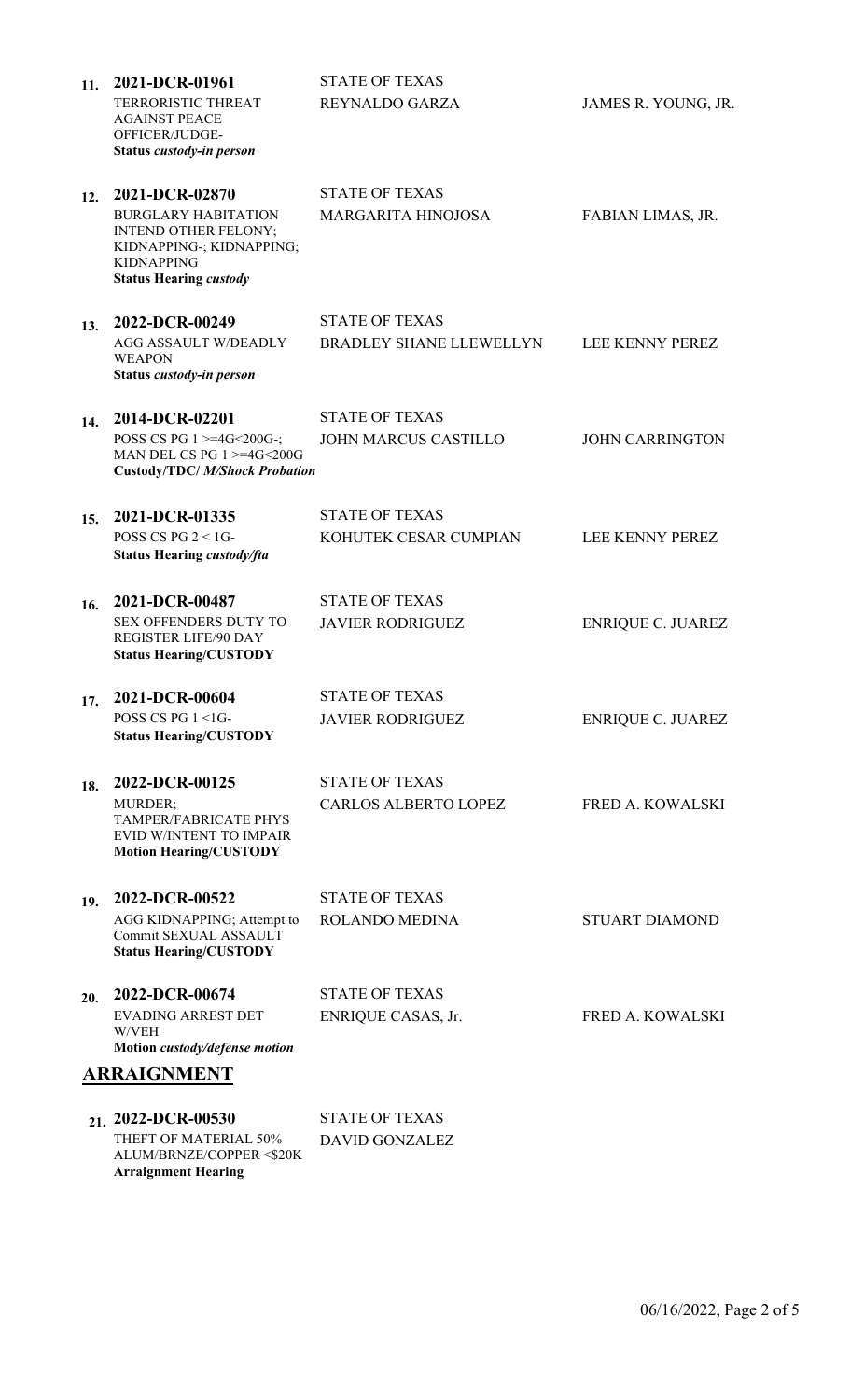| 11.        | 2021-DCR-01961                                                                                                                                                | <b>STATE OF TEXAS</b>                              |                          |
|------------|---------------------------------------------------------------------------------------------------------------------------------------------------------------|----------------------------------------------------|--------------------------|
|            | TERRORISTIC THREAT<br><b>AGAINST PEACE</b><br>OFFICER/JUDGE-<br>Status custody-in person                                                                      | <b>REYNALDO GARZA</b>                              | JAMES R. YOUNG, JR.      |
|            |                                                                                                                                                               |                                                    |                          |
| 12.        | 2021-DCR-02870<br><b>BURGLARY HABITATION</b><br><b>INTEND OTHER FELONY;</b><br>KIDNAPPING-; KIDNAPPING;<br><b>KIDNAPPING</b><br><b>Status Hearing custody</b> | <b>STATE OF TEXAS</b><br><b>MARGARITA HINOJOSA</b> | FABIAN LIMAS, JR.        |
| 13.        | 2022-DCR-00249                                                                                                                                                | <b>STATE OF TEXAS</b>                              |                          |
|            | <b>AGG ASSAULT W/DEADLY</b><br><b>WEAPON</b><br>Status custody-in person                                                                                      | <b>BRADLEY SHANE LLEWELLYN</b>                     | LEE KENNY PEREZ          |
| 14.        | 2014-DCR-02201                                                                                                                                                | <b>STATE OF TEXAS</b>                              |                          |
|            | POSS CS PG 1 >=4G<200G-;<br>MAN DEL CS PG $1 > = 4G < 200G$<br><b>Custody/TDC/ M/Shock Probation</b>                                                          | <b>JOHN MARCUS CASTILLO</b>                        | <b>JOHN CARRINGTON</b>   |
| 15.        | 2021-DCR-01335                                                                                                                                                | <b>STATE OF TEXAS</b>                              |                          |
|            | POSS CS PG $2 < 1$ G-<br>Status Hearing custody/fta                                                                                                           | KOHUTEK CESAR CUMPIAN                              | LEE KENNY PEREZ          |
| 16.        | 2021-DCR-00487                                                                                                                                                | <b>STATE OF TEXAS</b>                              |                          |
|            | SEX OFFENDERS DUTY TO<br>REGISTER LIFE/90 DAY<br><b>Status Hearing/CUSTODY</b>                                                                                | <b>JAVIER RODRIGUEZ</b>                            | <b>ENRIQUE C. JUAREZ</b> |
| 17.        | 2021-DCR-00604                                                                                                                                                | <b>STATE OF TEXAS</b>                              |                          |
|            | POSS CS PG $1 \leq 1$ G-<br><b>Status Hearing/CUSTODY</b>                                                                                                     | <b>JAVIER RODRIGUEZ</b>                            | <b>ENRIQUE C. JUAREZ</b> |
| 18.        | 2022-DCR-00125                                                                                                                                                | <b>STATE OF TEXAS</b>                              |                          |
|            | MURDER;<br>TAMPER/FABRICATE PHYS<br>EVID W/INTENT TO IMPAIR<br><b>Motion Hearing/CUSTODY</b>                                                                  | <b>CARLOS ALBERTO LOPEZ</b>                        | <b>FRED A. KOWALSKI</b>  |
| <b>19.</b> | 2022-DCR-00522                                                                                                                                                | <b>STATE OF TEXAS</b>                              |                          |
|            | AGG KIDNAPPING; Attempt to<br>Commit SEXUAL ASSAULT<br><b>Status Hearing/CUSTODY</b>                                                                          | ROLANDO MEDINA                                     | <b>STUART DIAMOND</b>    |
| 20.        | 2022-DCR-00674                                                                                                                                                | <b>STATE OF TEXAS</b>                              |                          |
|            | <b>EVADING ARREST DET</b><br>W/VEH<br>Motion custody/defense motion                                                                                           | ENRIQUE CASAS, Jr.                                 | <b>FRED A. KOWALSKI</b>  |
|            | <b>ARRAIGNMENT</b>                                                                                                                                            |                                                    |                          |
|            |                                                                                                                                                               |                                                    |                          |
|            | 21. 2022-DCR-00530<br>THEFT OF MATERIAL 50%                                                                                                                   | <b>STATE OF TEXAS</b><br><b>DAVID GONZALEZ</b>     |                          |
|            | ALUM/BRNZE/COPPER <\$20K                                                                                                                                      |                                                    |                          |

**Arraignment Hearing**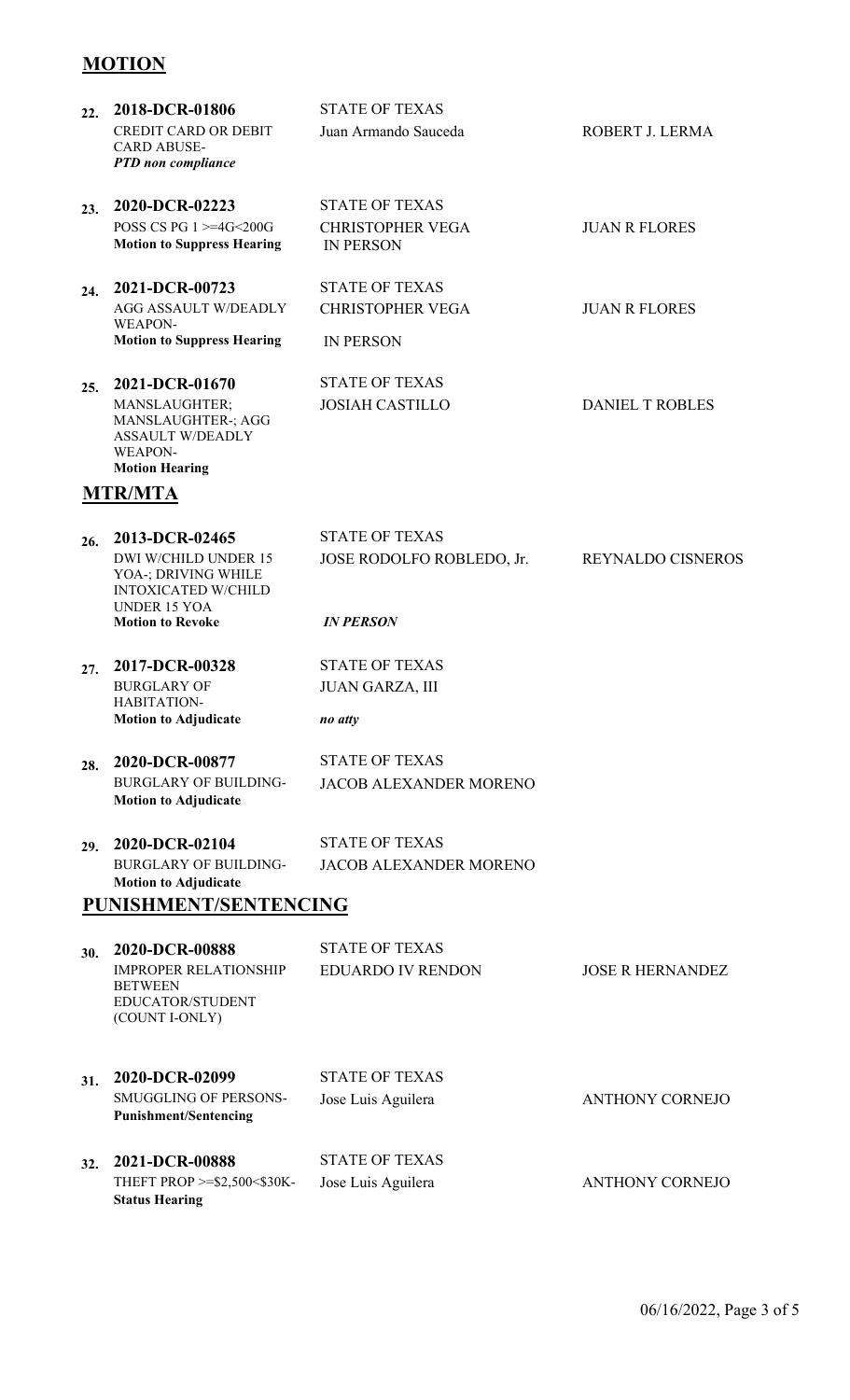## **MOTION**

| 22. | 2018-DCR-01806                                                                                                   | <b>STATE OF TEXAS</b>                       |                          |
|-----|------------------------------------------------------------------------------------------------------------------|---------------------------------------------|--------------------------|
|     | <b>CREDIT CARD OR DEBIT</b><br><b>CARD ABUSE-</b><br><b>PTD</b> non compliance                                   | Juan Armando Sauceda                        | ROBERT J. LERMA          |
| 23. | 2020-DCR-02223                                                                                                   | <b>STATE OF TEXAS</b>                       |                          |
|     | POSS CS PG 1 >=4G<200G<br><b>Motion to Suppress Hearing</b>                                                      | <b>CHRISTOPHER VEGA</b><br><b>IN PERSON</b> | <b>JUAN R FLORES</b>     |
| 24. | 2021-DCR-00723                                                                                                   | <b>STATE OF TEXAS</b>                       |                          |
|     | <b>AGG ASSAULT W/DEADLY</b><br><b>WEAPON-</b>                                                                    | <b>CHRISTOPHER VEGA</b>                     | <b>JUAN R FLORES</b>     |
|     | <b>Motion to Suppress Hearing</b>                                                                                | <b>IN PERSON</b>                            |                          |
| 25. | 2021-DCR-01670                                                                                                   | <b>STATE OF TEXAS</b>                       |                          |
|     | MANSLAUGHTER;<br><b>MANSLAUGHTER-; AGG</b><br><b>ASSAULT W/DEADLY</b><br><b>WEAPON-</b><br><b>Motion Hearing</b> | <b>JOSIAH CASTILLO</b>                      | <b>DANIEL T ROBLES</b>   |
|     | <b>MTR/MTA</b>                                                                                                   |                                             |                          |
| 26. | 2013-DCR-02465                                                                                                   | <b>STATE OF TEXAS</b>                       |                          |
|     | DWI W/CHILD UNDER 15<br>YOA-; DRIVING WHILE<br><b>INTOXICATED W/CHILD</b><br><b>UNDER 15 YOA</b>                 | JOSE RODOLFO ROBLEDO, Jr.                   | <b>REYNALDO CISNEROS</b> |
|     | <b>Motion to Revoke</b>                                                                                          | <b>IN PERSON</b>                            |                          |
| 27. | 2017-DCR-00328                                                                                                   | <b>STATE OF TEXAS</b>                       |                          |
|     | <b>BURGLARY OF</b>                                                                                               | <b>JUAN GARZA, III</b>                      |                          |
|     | HABITATION-<br><b>Motion to Adjudicate</b>                                                                       | no atty                                     |                          |
| 28. | 2020-DCR-00877                                                                                                   | <b>STATE OF TEXAS</b>                       |                          |
|     | <b>BURGLARY OF BUILDING-</b><br><b>Motion to Adjudicate</b>                                                      | <b>JACOB ALEXANDER MORENO</b>               |                          |
| 29. | 2020-DCR-02104                                                                                                   | <b>STATE OF TEXAS</b>                       |                          |
|     | <b>BURGLARY OF BUILDING-</b><br><b>Motion to Adjudicate</b>                                                      | <b>JACOB ALEXANDER MORENO</b>               |                          |
|     | PUNISHMENT/SENTENCING                                                                                            |                                             |                          |
|     | 2020-DCR-00888                                                                                                   | <b>STATE OF TEXAS</b>                       |                          |
| 30. | <b>IMPROPER RELATIONSHIP</b><br><b>BETWEEN</b><br>EDUCATOR/STUDENT<br>(COUNT I-ONLY)                             | <b>EDUARDO IV RENDON</b>                    | <b>JOSE R HERNANDEZ</b>  |
| 31. | 2020-DCR-02099                                                                                                   | <b>STATE OF TEXAS</b>                       |                          |
|     | SMUGGLING OF PERSONS-<br><b>Punishment/Sentencing</b>                                                            | Jose Luis Aguilera                          | <b>ANTHONY CORNEJO</b>   |
| 32. | 2021-DCR-00888                                                                                                   | <b>STATE OF TEXAS</b>                       |                          |
|     | THEFT PROP >=\$2,500<\$30K-<br><b>Status Hearing</b>                                                             | Jose Luis Aguilera                          | <b>ANTHONY CORNEJO</b>   |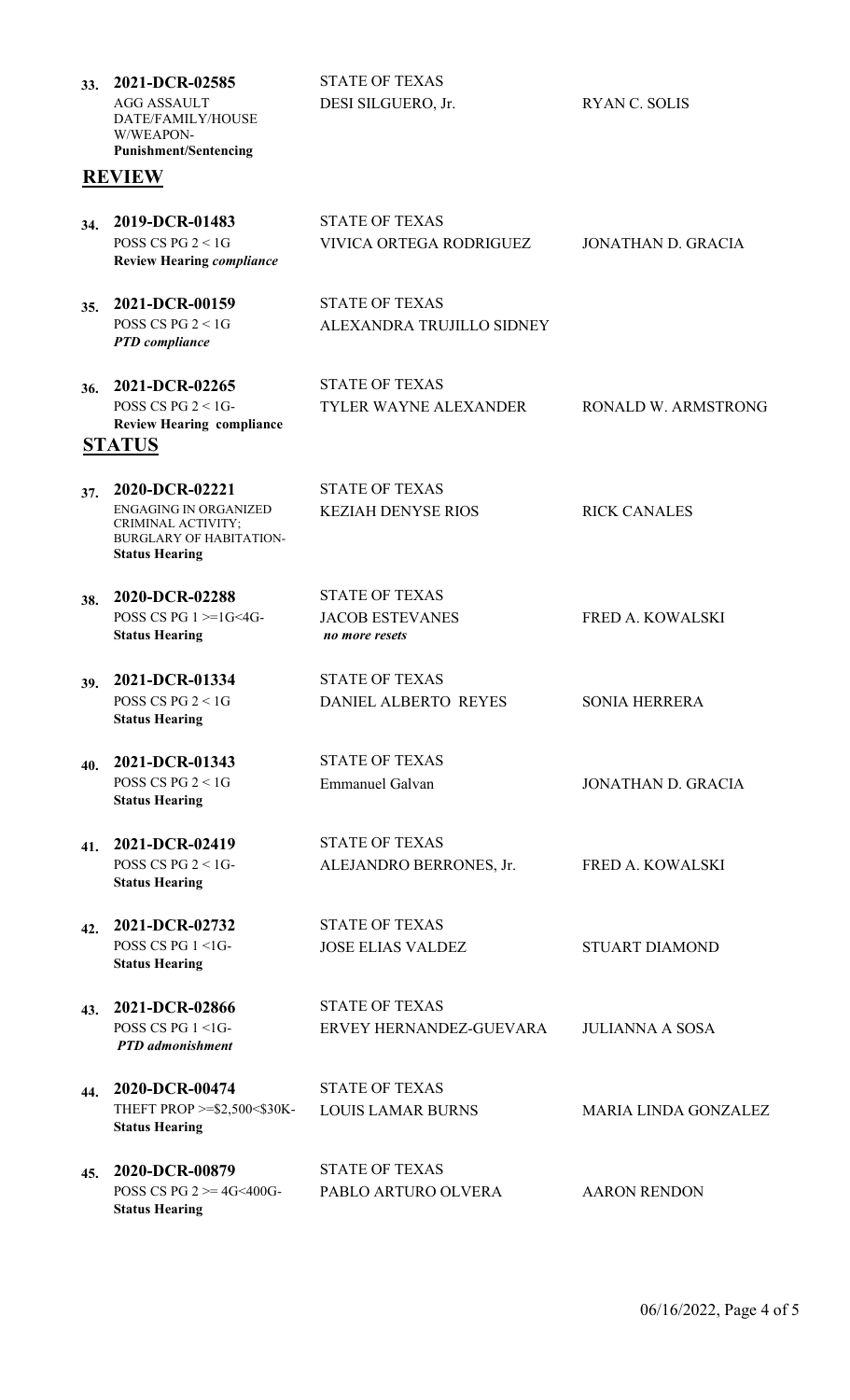| 33.        | 2021-DCR-02585                                                                       | <b>STATE OF TEXAS</b>          |                             |
|------------|--------------------------------------------------------------------------------------|--------------------------------|-----------------------------|
|            | <b>AGG ASSAULT</b><br>DATE/FAMILY/HOUSE<br>W/WEAPON-<br><b>Punishment/Sentencing</b> | DESI SILGUERO, Jr.             | <b>RYAN C. SOLIS</b>        |
|            | <b>REVIEW</b>                                                                        |                                |                             |
|            |                                                                                      |                                |                             |
| <b>34.</b> | 2019-DCR-01483                                                                       | <b>STATE OF TEXAS</b>          |                             |
|            | POSS CS PG $2 < 1$ G                                                                 | <b>VIVICA ORTEGA RODRIGUEZ</b> | <b>JONATHAN D. GRACIA</b>   |
|            | <b>Review Hearing compliance</b>                                                     |                                |                             |
| 35.        | 2021-DCR-00159                                                                       | <b>STATE OF TEXAS</b>          |                             |
|            | POSS CS PG $2 < 1$ G                                                                 | ALEXANDRA TRUJILLO SIDNEY      |                             |
|            | <b>PTD</b> compliance                                                                |                                |                             |
| 36.        | 2021-DCR-02265                                                                       | <b>STATE OF TEXAS</b>          |                             |
|            | POSS CS PG $2 < 1$ G-                                                                | TYLER WAYNE ALEXANDER          | RONALD W. ARMSTRONG         |
|            | <b>Review Hearing compliance</b>                                                     |                                |                             |
|            | <b>STATUS</b>                                                                        |                                |                             |
| 37.        | 2020-DCR-02221                                                                       | <b>STATE OF TEXAS</b>          |                             |
|            | <b>ENGAGING IN ORGANIZED</b>                                                         | <b>KEZIAH DENYSE RIOS</b>      | <b>RICK CANALES</b>         |
|            | CRIMINAL ACTIVITY;<br>BURGLARY OF HABITATION-                                        |                                |                             |
|            | <b>Status Hearing</b>                                                                |                                |                             |
| 38.        | 2020-DCR-02288                                                                       | <b>STATE OF TEXAS</b>          |                             |
|            | POSS CS PG $1 \geq 1$ G<4G-                                                          | <b>JACOB ESTEVANES</b>         | <b>FRED A. KOWALSKI</b>     |
|            | <b>Status Hearing</b>                                                                | no more resets                 |                             |
| <b>39.</b> | 2021-DCR-01334                                                                       | <b>STATE OF TEXAS</b>          |                             |
|            | POSS CS PG $2 < 1$ G                                                                 | DANIEL ALBERTO REYES           | <b>SONIA HERRERA</b>        |
|            | <b>Status Hearing</b>                                                                |                                |                             |
| 40.        | 2021-DCR-01343                                                                       | <b>STATE OF TEXAS</b>          |                             |
|            | POSS CS PG $2 < 1$ G                                                                 | <b>Emmanuel Galvan</b>         | <b>JONATHAN D. GRACIA</b>   |
|            | <b>Status Hearing</b>                                                                |                                |                             |
| 41.        | 2021-DCR-02419                                                                       | <b>STATE OF TEXAS</b>          |                             |
|            | POSS CS PG $2 < 1$ G-                                                                | ALEJANDRO BERRONES, Jr.        | <b>FRED A. KOWALSKI</b>     |
|            | <b>Status Hearing</b>                                                                |                                |                             |
| 42.        | 2021-DCR-02732                                                                       | <b>STATE OF TEXAS</b>          |                             |
|            | POSS CS PG 1 <1G-                                                                    | <b>JOSE ELIAS VALDEZ</b>       | <b>STUART DIAMOND</b>       |
|            | <b>Status Hearing</b>                                                                |                                |                             |
| 43.        | 2021-DCR-02866                                                                       | <b>STATE OF TEXAS</b>          |                             |
|            | POSS CS PG 1 <1G-                                                                    | ERVEY HERNANDEZ-GUEVARA        | <b>JULIANNA A SOSA</b>      |
|            | <b>PTD</b> admonishment                                                              |                                |                             |
| 44.        | 2020-DCR-00474                                                                       | <b>STATE OF TEXAS</b>          |                             |
|            | THEFT PROP >=\$2,500<\$30K-                                                          | <b>LOUIS LAMAR BURNS</b>       | <b>MARIA LINDA GONZALEZ</b> |
|            | <b>Status Hearing</b>                                                                |                                |                             |
|            | 2020-DCR-00879                                                                       | <b>STATE OF TEXAS</b>          |                             |
| 45.        | POSS CS PG $2 \ge 4$ G<400G-                                                         | PABLO ARTURO OLVERA            | <b>AARON RENDON</b>         |
|            | <b>Status Hearing</b>                                                                |                                |                             |